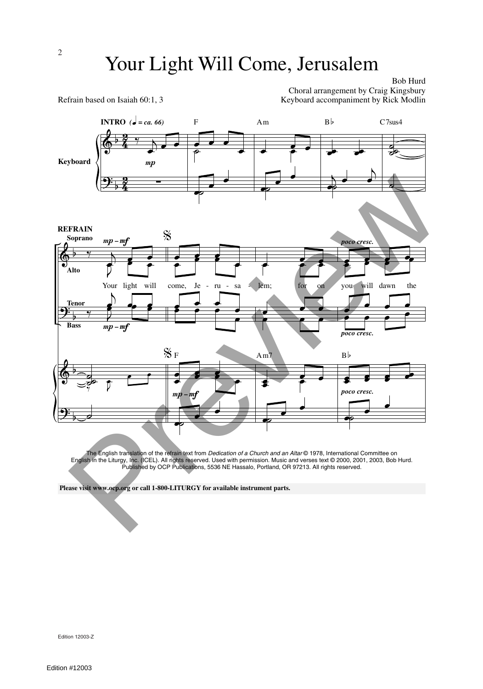Bob Hurd

Choral arrangement by Craig Kingsbury Refrain based on Isaiah 60:1, 3 Keyboard accompaniment by Rick Modlin



The English translation of the refrain text from *Dedication of a Church and an Altar* © 1978, International Committee on English in the Liturgy, Inc. (ICEL). All rights reserved. Used with permission. Music and verses text © 2000, 2001, 2003, Bob Hurd. Published by OCP Publications, 5536 NE Hassalo, Portland, OR 97213. All rights reserved.

Edition 12003-Z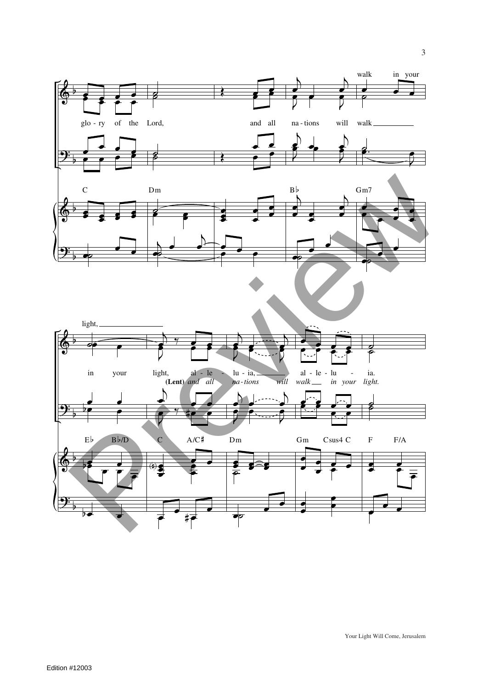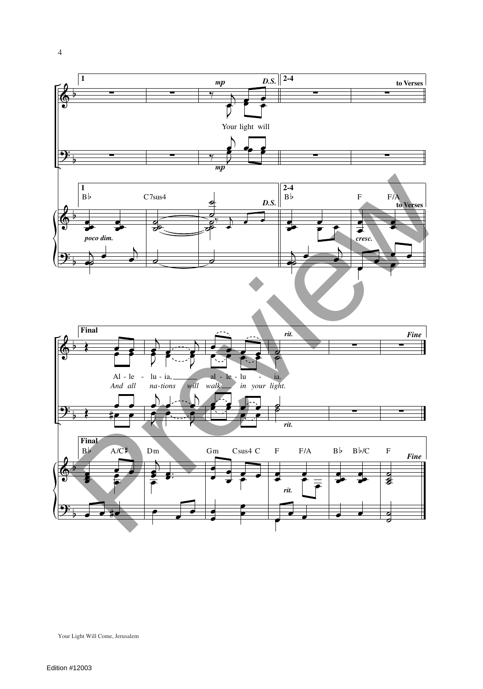

4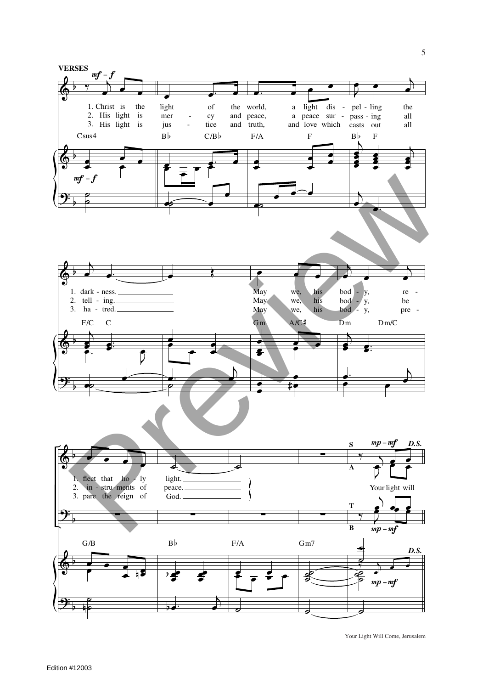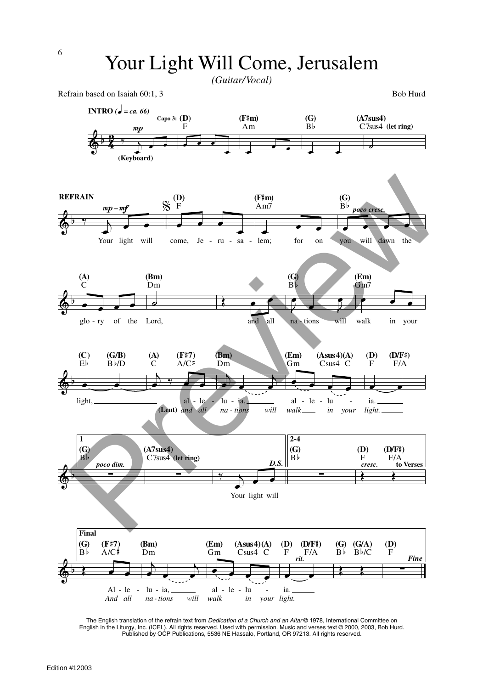*(Guitar/Vocal)*



The English translation of the refrain text from *Dedication of a Church and an Altar* © 1978, International Committee on English in the Liturgy, Inc. (ICEL). All rights reserved. Used with permission. Music and verses text © 2000, 2003, Bob Hurd. Published by OCP Publications, 5536 NE Hassalo, Portland, OR 97213. All rights reserved.

*in your light.*

*walk*

*And all*

*na - tions will*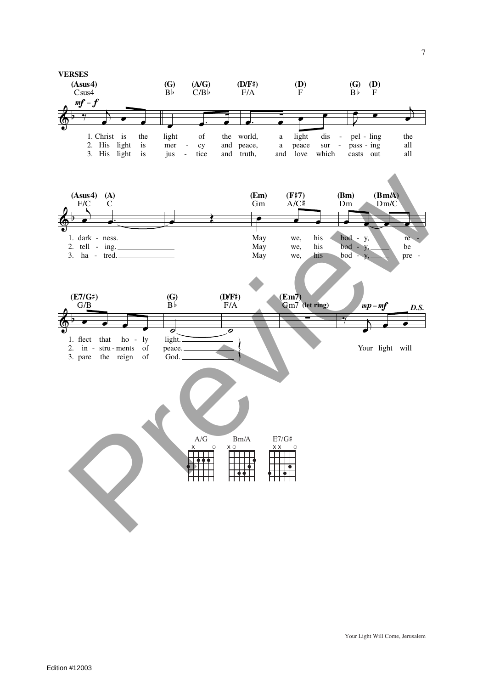